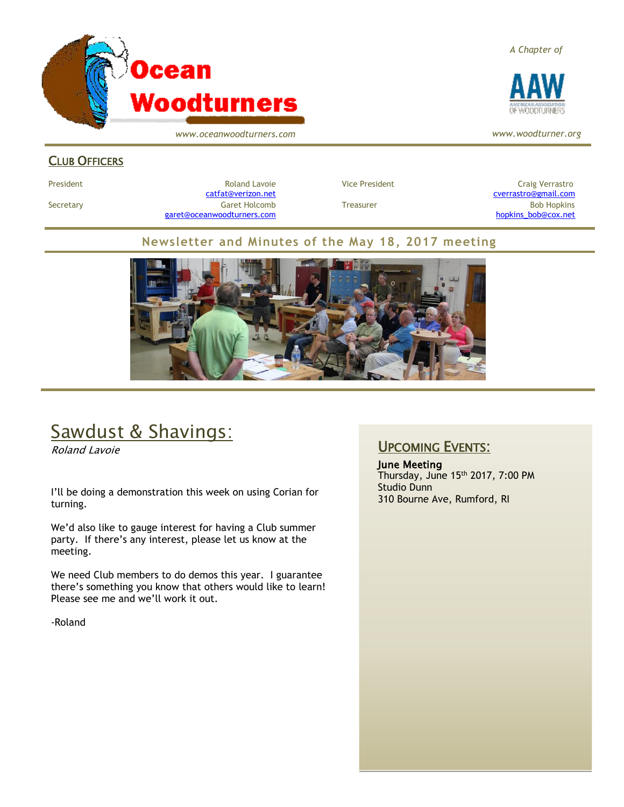

*www.oceanwoodturners.com*

#### *A Chapter of*



*www.woodturner.org*

### CLUB OFFICERS

President **Roland Lavoie Roland Lavoie** Vice President **Craig Verrastro** Craig Verrastro Secretary Garet Holcomb Treasurer Bob Hopkins Bob Hopkins (Bob Hopkins Garet Holcomb [garet@oceanwoodturners.com](mailto:garet@oceanwoodturners.com) and the state of the state of the state of the state of the state of the state of the state of the state of the state of the state of the state of the state of the state of the state of the state

[catfat@verizon.net](file:///C:/Users/OTEC/Desktop/OW/catfat@verizon.net) [cverrastro@gmail.com](mailto:cverrastro@gmail.com)

#### **Newsletter and Minutes of the May 18, 2017 meeting**



# Sawdust & Shavings:

Roland Lavoie

I'll be doing a demonstration this week on using Corian for turning.

We'd also like to gauge interest for having a Club summer party. If there's any interest, please let us know at the meeting.

We need Club members to do demos this year. I guarantee there's something you know that others would like to learn! Please see me and we'll work it out.

-Roland

## UPCOMING EVENTS:

June Meeting Thursday, June 15th 2017, 7:00 PM Studio Dunn 310 Bourne Ave, Rumford, RI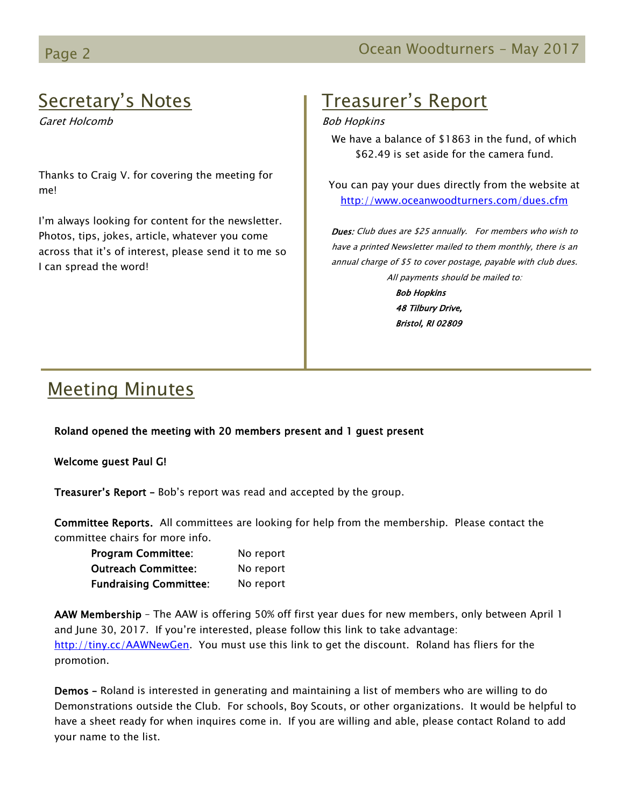# Secretary's Notes

Garet Holcomb

Thanks to Craig V. for covering the meeting for me!

I'm always looking for content for the newsletter. Photos, tips, jokes, article, whatever you come across that it's of interest, please send it to me so I can spread the word!

# Treasurer's Report

#### Bob Hopkins

We have a balance of \$1863 in the fund, of which \$62.49 is set aside for the camera fund.

You can pay your dues directly from the website at <http://www.oceanwoodturners.com/dues.cfm>

Dues: Club dues are \$25 annually. For members who wish to have a printed Newsletter mailed to them monthly, there is an annual charge of \$5 to cover postage, payable with club dues. All payments should be mailed to:

> Bob Hopkins 48 Tilbury Drive, Bristol, RI 02809

# Meeting Minutes

Roland opened the meeting with 20 members present and 1 guest present

Welcome guest Paul G!

Treasurer's Report - Bob's report was read and accepted by the group.

Committee Reports. All committees are looking for help from the membership. Please contact the committee chairs for more info.

| <b>Program Committee:</b>     | No report |
|-------------------------------|-----------|
| <b>Outreach Committee:</b>    | No report |
| <b>Fundraising Committee:</b> | No report |

AAW Membership - The AAW is offering 50% off first year dues for new members, only between April 1 and June 30, 2017. If you're interested, please follow this link to take advantage: [http://tiny.cc/AAWNewGen.](http://tiny.cc/AAWNewGen) You must use this link to get the discount. Roland has fliers for the promotion.

Demos – Roland is interested in generating and maintaining a list of members who are willing to do Demonstrations outside the Club. For schools, Boy Scouts, or other organizations. It would be helpful to have a sheet ready for when inquires come in. If you are willing and able, please contact Roland to add your name to the list.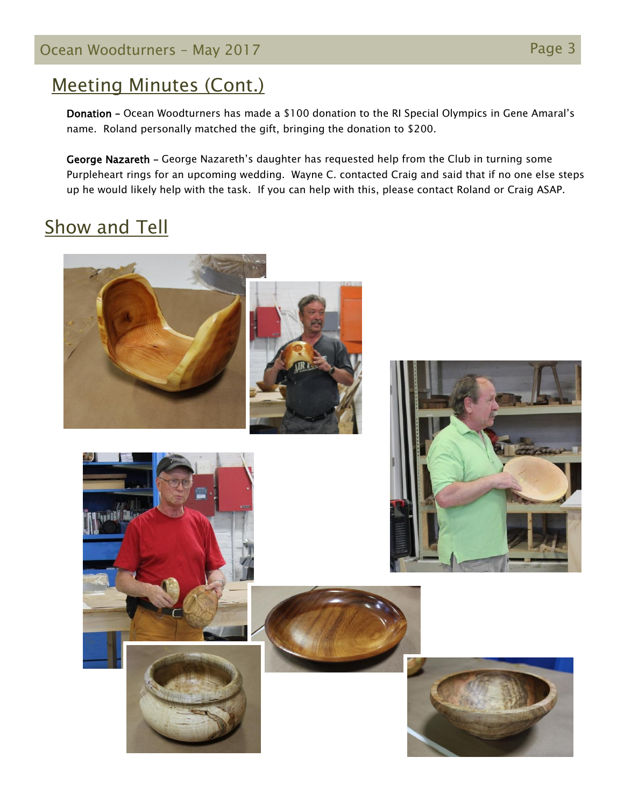## Ocean Woodturners – May 2017 **Page 3** Page 3

## Meeting Minutes (Cont.)

Donation – Ocean Woodturners has made a \$100 donation to the RI Special Olympics in Gene Amaral's name. Roland personally matched the gift, bringing the donation to \$200.

George Nazareth – George Nazareth's daughter has requested help from the Club in turning some Purpleheart rings for an upcoming wedding. Wayne C. contacted Craig and said that if no one else steps up he would likely help with the task. If you can help with this, please contact Roland or Craig ASAP.

# Show and Tell

W





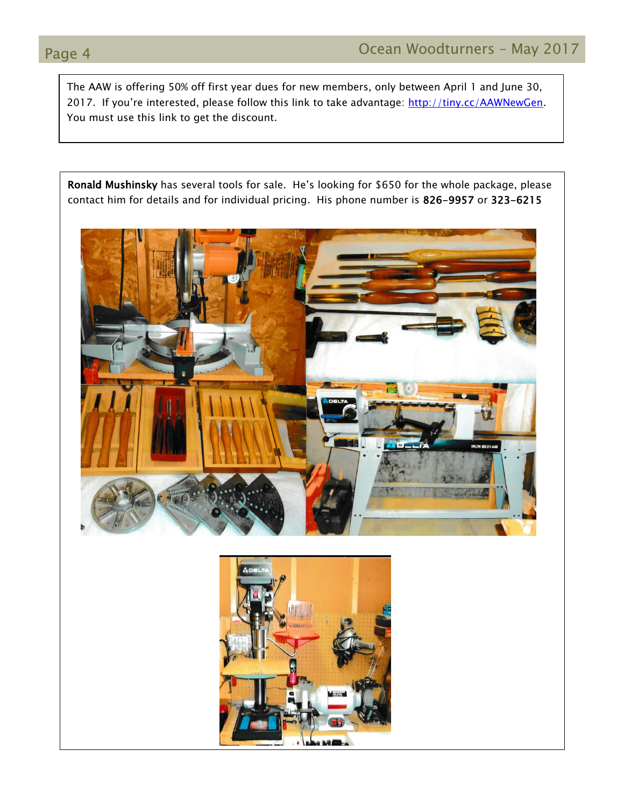The AAW is offering 50% off first year dues for new members, only between April 1 and June 30, 2017. If you're interested, please follow this link to take advantage: [http://tiny.cc/AAWNewGen.](http://tiny.cc/AAWNewGen) You must use this link to get the discount.

Ronald Mushinsky has several tools for sale. He's looking for \$650 for the whole package, please contact him for details and for individual pricing. His phone number is 826-9957 or 323-6215



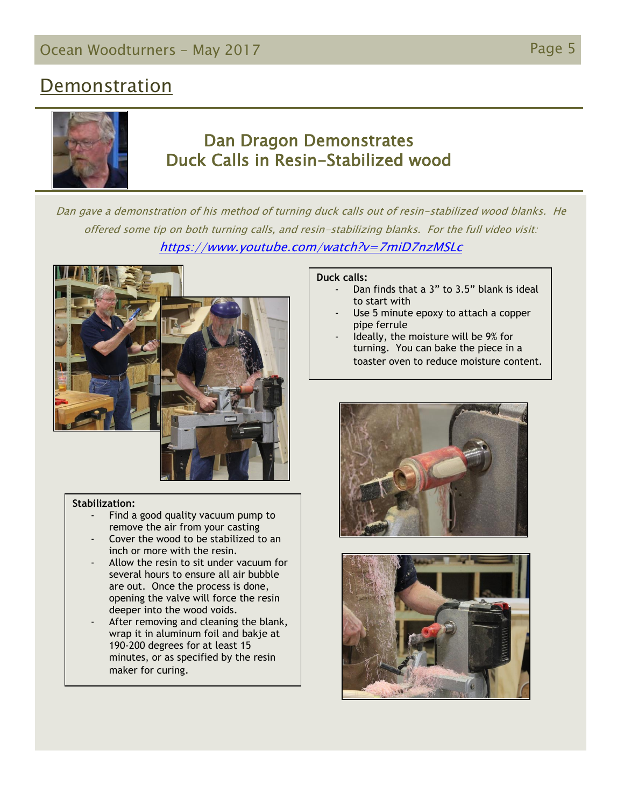## **Demonstration**



## Dan Dragon Demonstrates Duck Calls in Resin-Stabilized wood

Dan gave a demonstration of his method of turning duck calls out of resin-stabilized wood blanks. He offered some tip on both turning calls, and resin-stabilizing blanks. For the full video visit: <https://www.youtube.com/watch?v=7miD7nzMSLc>





#### **Stabilization:**

- Find a good quality vacuum pump to remove the air from your casting
- Cover the wood to be stabilized to an inch or more with the resin.
- Allow the resin to sit under vacuum for several hours to ensure all air bubble are out. Once the process is done, opening the valve will force the resin deeper into the wood voids.
- After removing and cleaning the blank, wrap it in aluminum foil and bakje at 190-200 degrees for at least 15 minutes, or as specified by the resin maker for curing.

#### **Duck calls:**

- Dan finds that a 3" to 3.5" blank is ideal to start with
- Use 5 minute epoxy to attach a copper pipe ferrule
- Ideally, the moisture will be 9% for turning. You can bake the piece in a toaster oven to reduce moisture content.